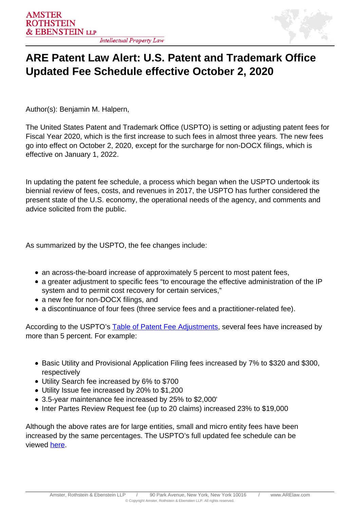

## **ARE Patent Law Alert: U.S. Patent and Trademark Office Updated Fee Schedule effective October 2, 2020**

Author(s): Benjamin M. Halpern,

The United States Patent and Trademark Office (USPTO) is setting or adjusting patent fees for Fiscal Year 2020, which is the first increase to such fees in almost three years. The new fees go into effect on October 2, 2020, except for the surcharge for non-DOCX filings, which is effective on January 1, 2022.

In updating the patent fee schedule, a process which began when the USPTO undertook its biennial review of fees, costs, and revenues in 2017, the USPTO has further considered the present state of the U.S. economy, the operational needs of the agency, and comments and advice solicited from the public.

As summarized by the USPTO, the fee changes include:

- an across-the-board increase of approximately 5 percent to most patent fees,
- a greater adjustment to specific fees "to encourage the effective administration of the IP system and to permit cost recovery for certain services,"
- a new fee for non-DOCX filings, and
- a discontinuance of four fees (three service fees and a practitioner-related fee).

According to the USPTO's [Table of Patent Fee Adjustments,](https://www.uspto.gov/sites/default/files/documents/Table of Patent Fee Adjustments-FY2020 Final Rule.xlsx) several fees have increased by more than 5 percent. For example:

- Basic Utility and Provisional Application Filing fees increased by 7% to \$320 and \$300, respectively
- Utility Search fee increased by 6% to \$700
- Utility Issue fee increased by 20% to \$1,200
- 3.5-year maintenance fee increased by 25% to \$2,000'
- Inter Partes Review Request fee (up to 20 claims) increased 23% to \$19,000

Although the above rates are for large entities, small and micro entity fees have been increased by the same percentages. The USPTO's full updated fee schedule can be viewed here.